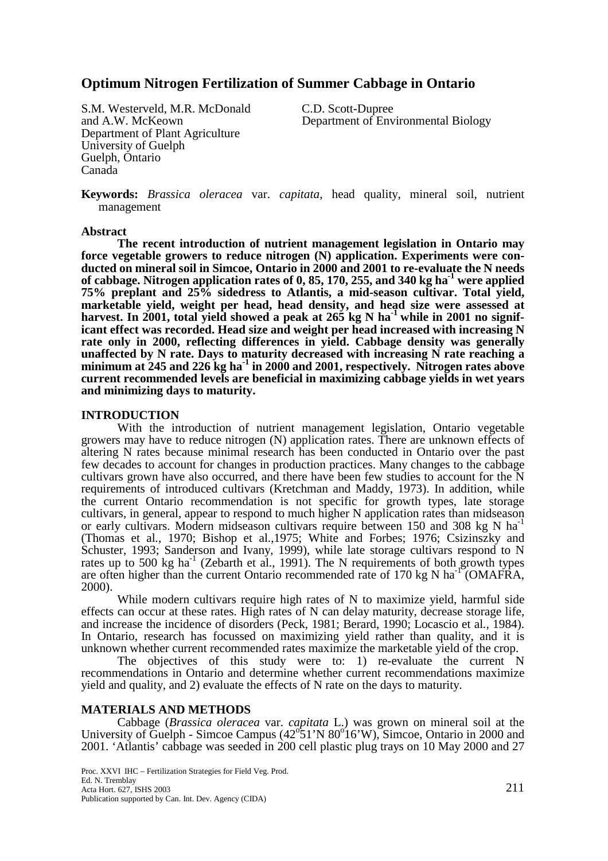# **Optimum Nitrogen Fertilization of Summer Cabbage in Ontario**

S.M. Westerveld, M.R. McDonald C.D. Scott-Dupree<br>and A.W. McKeown Department of Env Department of Plant Agriculture University of Guelph Guelph, Ontario Canada

Department of Environmental Biology

**Keywords:** *Brassica oleracea* var. *capitata*, head quality, mineral soil, nutrient management

## **Abstract**

 **The recent introduction of nutrient management legislation in Ontario may force vegetable growers to reduce nitrogen (N) application. Experiments were conducted on mineral soil in Simcoe, Ontario in 2000 and 2001 to re-evaluate the N needs**  of cabbage. Nitrogen application rates of 0, 85, 170, 255, and 340 kg ha<sup>-1</sup> were applied **75% preplant and 25% sidedress to Atlantis, a mid-season cultivar. Total yield, marketable yield, weight per head, head density, and head size were assessed at**  harvest. In 2001, total yield showed a peak at 265 kg N ha<sup>-1</sup> while in 2001 no signif**icant effect was recorded. Head size and weight per head increased with increasing N rate only in 2000, reflecting differences in yield. Cabbage density was generally unaffected by N rate. Days to maturity decreased with increasing N rate reaching a**  minimum at 245 and 226 kg ha<sup>-1</sup> in 2000 and 2001, respectively. Nitrogen rates above **current recommended levels are beneficial in maximizing cabbage yields in wet years and minimizing days to maturity.** 

# **INTRODUCTION**

With the introduction of nutrient management legislation, Ontario vegetable growers may have to reduce nitrogen (N) application rates. There are unknown effects of altering N rates because minimal research has been conducted in Ontario over the past few decades to account for changes in production practices. Many changes to the cabbage cultivars grown have also occurred, and there have been few studies to account for the N requirements of introduced cultivars (Kretchman and Maddy, 1973). In addition, while the current Ontario recommendation is not specific for growth types, late storage cultivars, in general, appear to respond to much higher N application rates than midseason or early cultivars. Modern midseason cultivars require between 150 and 308 kg N ha<sup>-1</sup> (Thomas et al*.*, 1970; Bishop et al.,1975; White and Forbes; 1976; Csizinszky and Schuster, 1993; Sanderson and Ivany, 1999), while late storage cultivars respond to N rates up to 500 kg ha<sup>-1</sup> (Zebarth et al., 1991). The N requirements of both growth types are often higher than the current Ontario recommended rate of  $170 \text{ kg N}$  ha<sup>-1</sup> (OMAFRA, 2000).

While modern cultivars require high rates of N to maximize yield, harmful side effects can occur at these rates. High rates of N can delay maturity, decrease storage life, and increase the incidence of disorders (Peck, 1981; Berard, 1990; Locascio et al*.,* 1984). In Ontario, research has focussed on maximizing yield rather than quality, and it is unknown whether current recommended rates maximize the marketable yield of the crop.

The objectives of this study were to: 1) re-evaluate the current N recommendations in Ontario and determine whether current recommendations maximize yield and quality, and 2) evaluate the effects of N rate on the days to maturity.

# **MATERIALS AND METHODS**

Cabbage (*Brassica oleracea* var. *capitata* L.) was grown on mineral soil at the University of Guelph - Simcoe Campus  $(42^{\circ}51'N80^{\circ}16'W)$ , Simcoe, Ontario in 2000 and 2001. 'Atlantis' cabbage was seeded in 200 cell plastic plug trays on 10 May 2000 and 27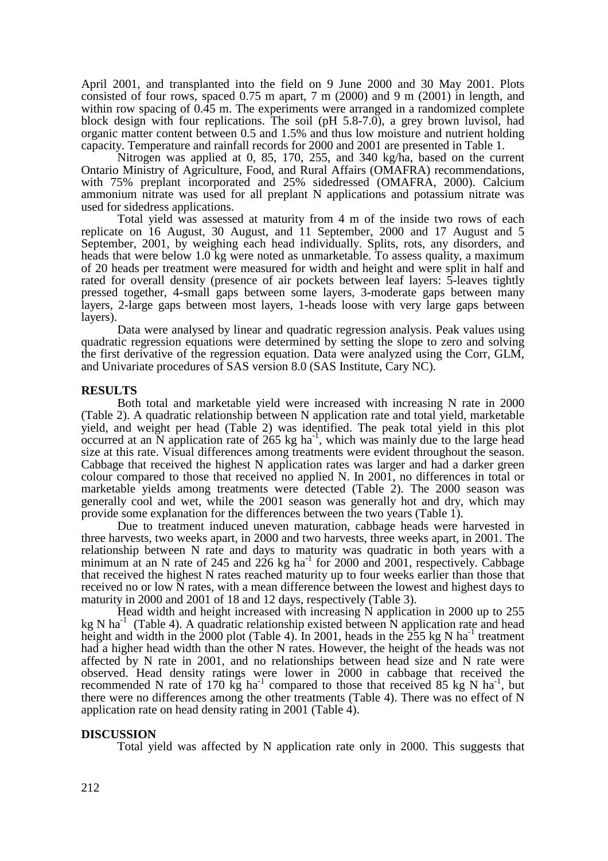April 2001, and transplanted into the field on 9 June 2000 and 30 May 2001. Plots consisted of four rows, spaced 0.75 m apart, 7 m (2000) and 9 m (2001) in length, and within row spacing of 0.45 m. The experiments were arranged in a randomized complete block design with four replications. The soil (pH 5.8-7.0), a grey brown luvisol, had organic matter content between 0.5 and 1.5% and thus low moisture and nutrient holding capacity. Temperature and rainfall records for 2000 and 2001 are presented in Table 1.

Nitrogen was applied at 0, 85, 170, 255, and 340 kg/ha, based on the current Ontario Ministry of Agriculture, Food, and Rural Affairs (OMAFRA) recommendations, with 75% preplant incorporated and 25% sidedressed (OMAFRA, 2000). Calcium ammonium nitrate was used for all preplant N applications and potassium nitrate was used for sidedress applications.

Total yield was assessed at maturity from 4 m of the inside two rows of each replicate on 16 August, 30 August, and 11 September, 2000 and 17 August and 5 September, 2001, by weighing each head individually. Splits, rots, any disorders, and heads that were below 1.0 kg were noted as unmarketable. To assess quality, a maximum of 20 heads per treatment were measured for width and height and were split in half and rated for overall density (presence of air pockets between leaf layers: 5-leaves tightly pressed together, 4-small gaps between some layers, 3-moderate gaps between many layers, 2-large gaps between most layers, 1-heads loose with very large gaps between layers).

Data were analysed by linear and quadratic regression analysis. Peak values using quadratic regression equations were determined by setting the slope to zero and solving the first derivative of the regression equation. Data were analyzed using the Corr, GLM, and Univariate procedures of SAS version 8.0 (SAS Institute, Cary NC).

## **RESULTS**

Both total and marketable yield were increased with increasing N rate in 2000 (Table 2). A quadratic relationship between N application rate and total yield, marketable yield, and weight per head (Table 2) was identified. The peak total yield in this plot occurred at an  $\overline{N}$  application rate of 265 kg ha<sup>-1</sup>, which was mainly due to the large head size at this rate. Visual differences among treatments were evident throughout the season. Cabbage that received the highest N application rates was larger and had a darker green colour compared to those that received no applied N. In 2001, no differences in total or marketable yields among treatments were detected (Table 2). The 2000 season was generally cool and wet, while the 2001 season was generally hot and dry, which may provide some explanation for the differences between the two years (Table 1).

 Due to treatment induced uneven maturation, cabbage heads were harvested in three harvests, two weeks apart, in 2000 and two harvests, three weeks apart, in 2001. The relationship between N rate and days to maturity was quadratic in both years with a minimum at an N rate of 245 and 226 kg ha<sup>-1</sup> for 2000 and 2001, respectively. Cabbage that received the highest N rates reached maturity up to four weeks earlier than those that received no or low N rates, with a mean difference between the lowest and highest days to maturity in 2000 and 2001 of 18 and 12 days, respectively (Table 3).

Head width and height increased with increasing N application in 2000 up to 255 kg N ha<sup>-1</sup> (Table 4). A quadratic relationship existed between N application rate and head height and width in the  $\overline{2000}$  plot (Table 4). In 2001, heads in the  $\overline{255}$  kg N ha<sup>-1</sup> treatment had a higher head width than the other N rates. However, the height of the heads was not affected by N rate in 2001, and no relationships between head size and N rate were observed. Head density ratings were lower in 2000 in cabbage that received the recommended N rate of 170 kg ha<sup>-1</sup> compared to those that received 85 kg N ha<sup>-1</sup>, but there were no differences among the other treatments (Table 4). There was no effect of N application rate on head density rating in 2001 (Table 4).

## **DISCUSSION**

Total yield was affected by N application rate only in 2000. This suggests that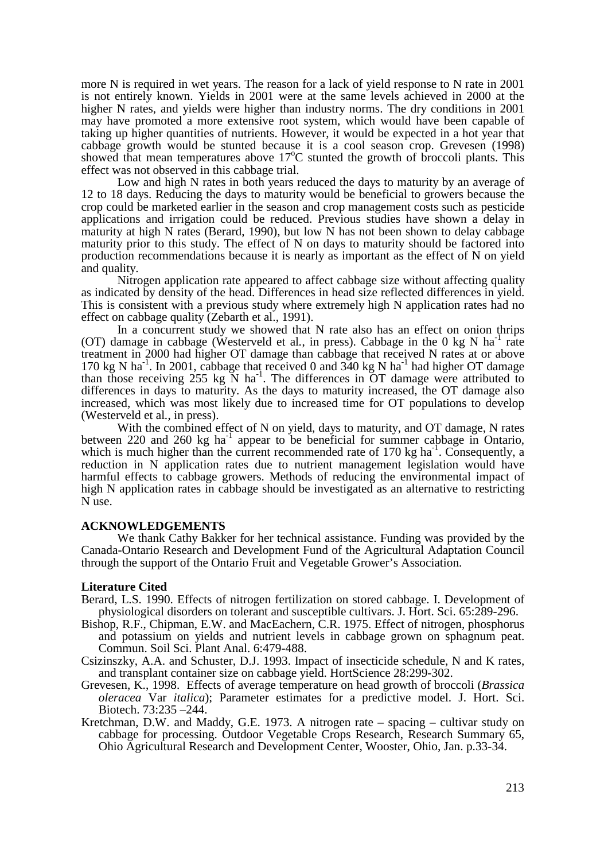more N is required in wet years. The reason for a lack of yield response to N rate in 2001 is not entirely known. Yields in 2001 were at the same levels achieved in 2000 at the higher N rates, and yields were higher than industry norms. The dry conditions in 2001 may have promoted a more extensive root system, which would have been capable of taking up higher quantities of nutrients. However, it would be expected in a hot year that cabbage growth would be stunted because it is a cool season crop. Grevesen (1998) showed that mean temperatures above 17<sup>o</sup>C stunted the growth of broccoli plants. This effect was not observed in this cabbage trial.

Low and high N rates in both years reduced the days to maturity by an average of 12 to 18 days. Reducing the days to maturity would be beneficial to growers because the crop could be marketed earlier in the season and crop management costs such as pesticide applications and irrigation could be reduced. Previous studies have shown a delay in maturity at high N rates (Berard, 1990), but low N has not been shown to delay cabbage maturity prior to this study. The effect of N on days to maturity should be factored into production recommendations because it is nearly as important as the effect of N on yield and quality.

Nitrogen application rate appeared to affect cabbage size without affecting quality as indicated by density of the head. Differences in head size reflected differences in yield. This is consistent with a previous study where extremely high N application rates had no effect on cabbage quality (Zebarth et al., 1991).

In a concurrent study we showed that N rate also has an effect on onion thrips (OT) damage in cabbage (Westerveld et al., in press). Cabbage in the 0 kg N ha<sup>-1</sup> rate treatment in 2000 had higher OT damage than cabbage that received N rates at or above 170 kg N ha<sup>-1</sup>. In 2001, cabbage that received 0 and  $340$  kg N ha<sup>-1</sup> had higher OT damage than those receiving 255 kg N ha-1. The differences in OT damage were attributed to differences in days to maturity. As the days to maturity increased, the OT damage also increased, which was most likely due to increased time for OT populations to develop (Westerveld et al*.*, in press).

With the combined effect of N on yield, days to maturity, and OT damage, N rates between 220 and 260 kg  $ha^{-1}$  appear to be beneficial for summer cabbage in Ontario, which is much higher than the current recommended rate of 170 kg ha<sup>-1</sup>. Consequently, a reduction in N application rates due to nutrient management legislation would have harmful effects to cabbage growers. Methods of reducing the environmental impact of high N application rates in cabbage should be investigated as an alternative to restricting N use.

#### **ACKNOWLEDGEMENTS**

 We thank Cathy Bakker for her technical assistance. Funding was provided by the Canada-Ontario Research and Development Fund of the Agricultural Adaptation Council through the support of the Ontario Fruit and Vegetable Grower's Association.

#### **Literature Cited**

- Berard, L.S. 1990. Effects of nitrogen fertilization on stored cabbage. I. Development of physiological disorders on tolerant and susceptible cultivars. J. Hort. Sci. 65:289-296.
- Bishop, R.F., Chipman, E.W. and MacEachern, C.R. 1975. Effect of nitrogen, phosphorus and potassium on yields and nutrient levels in cabbage grown on sphagnum peat. Commun. Soil Sci. Plant Anal. 6:479-488.
- Csizinszky, A.A. and Schuster, D.J. 1993. Impact of insecticide schedule, N and K rates, and transplant container size on cabbage yield. HortScience 28:299-302.
- Grevesen, K., 1998. Effects of average temperature on head growth of broccoli (*Brassica oleracea* Var *italica*); Parameter estimates for a predictive model. J. Hort. Sci. Biotech. 73:235 –244.
- Kretchman, D.W. and Maddy, G.E. 1973. A nitrogen rate spacing cultivar study on cabbage for processing. Outdoor Vegetable Crops Research, Research Summary 65, Ohio Agricultural Research and Development Center, Wooster, Ohio, Jan. p.33-34.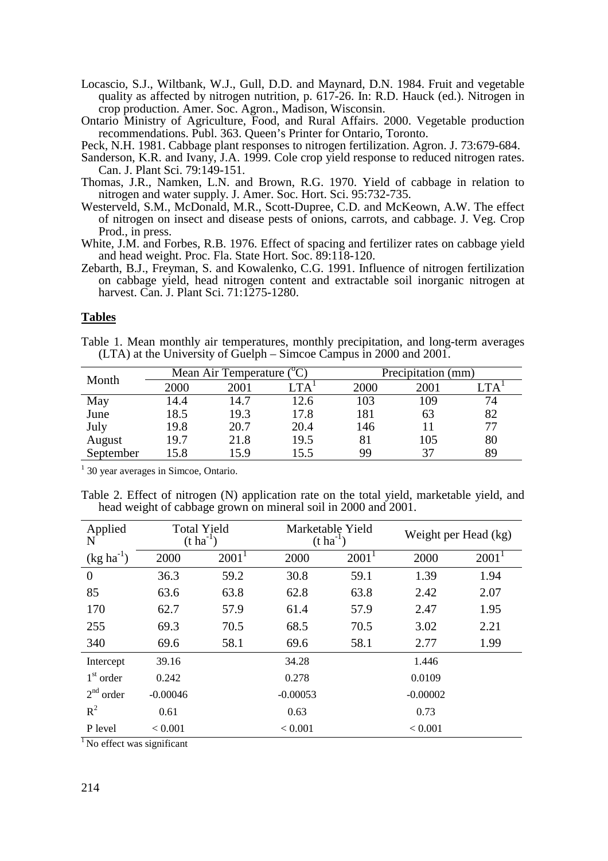Locascio, S.J., Wiltbank, W.J., Gull, D.D. and Maynard, D.N. 1984. Fruit and vegetable quality as affected by nitrogen nutrition, p. 617-26. In: R.D. Hauck (ed.). Nitrogen in crop production. Amer. Soc. Agron., Madison, Wisconsin.

Ontario Ministry of Agriculture, Food, and Rural Affairs. 2000. Vegetable production recommendations. Publ. 363. Queen's Printer for Ontario, Toronto.

Peck, N.H. 1981. Cabbage plant responses to nitrogen fertilization. Agron. J. 73:679-684.

- Sanderson, K.R. and Ivany, J.A. 1999. Cole crop yield response to reduced nitrogen rates. Can. J. Plant Sci. 79:149-151.
- Thomas, J.R., Namken, L.N. and Brown, R.G. 1970. Yield of cabbage in relation to nitrogen and water supply. J. Amer. Soc. Hort. Sci. 95:732-735.
- Westerveld, S.M., McDonald, M.R., Scott-Dupree, C.D. and McKeown, A.W. The effect of nitrogen on insect and disease pests of onions, carrots, and cabbage. J. Veg. Crop Prod., in press.
- White, J.M. and Forbes, R.B. 1976. Effect of spacing and fertilizer rates on cabbage yield and head weight. Proc. Fla. State Hort. Soc. 89:118-120.
- Zebarth, B.J., Freyman, S. and Kowalenko, C.G. 1991. Influence of nitrogen fertilization on cabbage yield, head nitrogen content and extractable soil inorganic nitrogen at harvest. Can. J. Plant Sci. 71:1275-1280.

# **Tables**

Table 1. Mean monthly air temperatures, monthly precipitation, and long-term averages (LTA) at the University of Guelph – Simcoe Campus in 2000 and 2001.

| Month     | Mean Air Temperature $({}^{\circ}C)$ |      |                             | Precipitation (mm) |      |      |  |
|-----------|--------------------------------------|------|-----------------------------|--------------------|------|------|--|
|           | 2000                                 | 2001 | $\mathsf{LTA}^{\mathsf{I}}$ | 2000               | 2001 | [ TA |  |
| May       | 14.4                                 | 14.7 | 12.6                        | 103                | 109  | 74   |  |
| June      | 18.5                                 | 19.3 | 17.8                        | 181                | 63   | 82   |  |
| July      | 19.8                                 | 20.7 | 20.4                        | 146                |      | 77   |  |
| August    | 19.7                                 | 21.8 | 19.5                        | 81                 | 105  | 80   |  |
| September | 15.8                                 | 15.9 | 15.5                        | 99                 | 37   | 89   |  |

<sup>1</sup> 30 year averages in Simcoe, Ontario.

Table 2. Effect of nitrogen (N) application rate on the total yield, marketable yield, and head weight of cabbage grown on mineral soil in 2000 and 2001.

| Applied<br>N   | <b>Total Yield</b><br>$(t \text{ ha}^{-1})$ |          | Marketable Yield<br>$(t \text{ ha}^{-1})$ |          | Weight per Head (kg) |          |
|----------------|---------------------------------------------|----------|-------------------------------------------|----------|----------------------|----------|
| $(kg ha^{-1})$ | 2000                                        | $2001^1$ | 2000                                      | $2001^1$ | 2000                 | $2001^1$ |
| $\overline{0}$ | 36.3                                        | 59.2     | 30.8                                      | 59.1     | 1.39                 | 1.94     |
| 85             | 63.6                                        | 63.8     | 62.8                                      | 63.8     | 2.42                 | 2.07     |
| 170            | 62.7                                        | 57.9     | 61.4                                      | 57.9     | 2.47                 | 1.95     |
| 255            | 69.3                                        | 70.5     | 68.5                                      | 70.5     | 3.02                 | 2.21     |
| 340            | 69.6                                        | 58.1     | 69.6                                      | 58.1     | 2.77                 | 1.99     |
| Intercept      | 39.16                                       |          | 34.28                                     |          | 1.446                |          |
| $1st$ order    | 0.242                                       |          | 0.278                                     |          | 0.0109               |          |
| $2nd$ order    | $-0.00046$                                  |          | $-0.00053$                                |          | $-0.00002$           |          |
| $R^2$          | 0.61                                        |          | 0.63                                      |          | 0.73                 |          |
| P level        | < 0.001                                     |          | < 0.001                                   |          | < 0.001              |          |

 $<sup>1</sup>$  No effect was significant</sup>